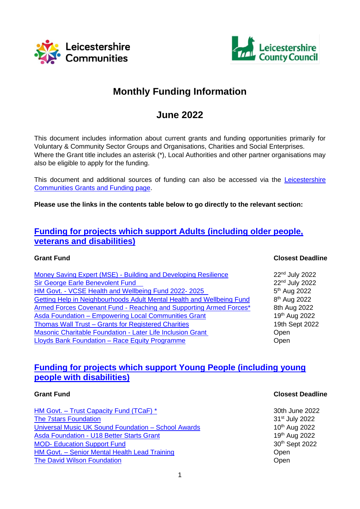



# **Monthly Funding Information**

# **June 2022**

This document includes information about current grants and funding opportunities primarily for Voluntary & Community Sector Groups and Organisations, Charities and Social Enterprises. Where the Grant title includes an asterisk (\*), Local Authorities and other partner organisations may also be eligible to apply for the funding.

This document and additional sources of funding can also be accessed via the Leicestershire [Communities Grants and Funding page.](https://www.leicestershirecommunities.org.uk/grants/)

**Please use the links in the contents table below to go directly to the relevant section:**

## **[Funding for projects which support Adults \(including older people,](#page-2-0)  [veterans and disabilities\)](#page-2-0)**

| Money Saving Expert (MSE) - Building and Developing Resilience        | 22nd July 2022             |
|-----------------------------------------------------------------------|----------------------------|
| <b>Sir George Earle Benevolent Fund</b>                               | 22 <sup>nd</sup> July 2022 |
| HM Govt. - VCSE Health and Wellbeing Fund 2022-2025                   | 5 <sup>th</sup> Aug 2022   |
| Getting Help in Neighbourhoods Adult Mental Health and Wellbeing Fund | 8 <sup>th</sup> Aug 2022   |
| Armed Forces Covenant Fund - Reaching and Supporting Armed Forces*    | 8th Aug 2022               |
| <b>Asda Foundation - Empowering Local Communities Grant</b>           | 19th Aug 2022              |
| Thomas Wall Trust - Grants for Registered Charities                   | 19th Sept 2022             |
| Masonic Charitable Foundation - Later Life Inclusion Grant            | Open                       |
| Lloyds Bank Foundation - Race Equity Programme                        | Open                       |

## **[Funding for projects which support Young People \(including young](#page-7-0)  [people with disabilities\)](#page-7-0)**

HM Govt. – [Trust Capacity Fund \(TCaF\) \\*](#page-7-1) 30th June 2022 [The 7stars Foundation](#page-7-2) 31st July 2022 Universal Music UK Sound Foundation - School Awards Asda Foundation - [U18 Better Starts Grant](#page-8-1) 19th Aug 2022 MOD- [Education Support Fund](#page-9-0) 30<sup>th</sup> Sept 2022 HM Govt. – [Senior Mental Health Lead Training](#page-9-1) **Example 2018** Open **[The David Wilson Foundation](#page-9-2) Contract Contract Contract Contract Contract Contract Contract Contract Contract Contract Contract Contract Contract Contract Contract Contract Contract Contract Contract Contract Contract Co** 

#### **Grant Fund Closest Deadline**

 $10<sup>th</sup>$  Aug 2022

#### **Grant Fund Closest Deadline**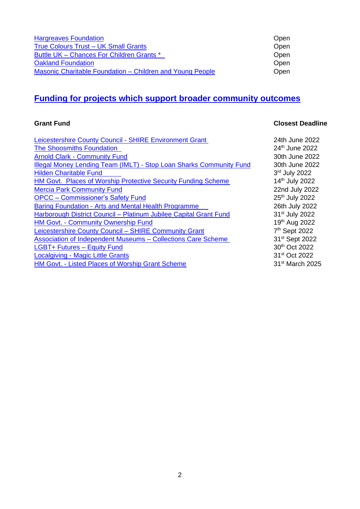| <b>Hargreaves Foundation</b>                              | Open |
|-----------------------------------------------------------|------|
| True Colours Trust - UK Small Grants                      | Open |
| Buttle UK - Chances For Children Grants *                 | Open |
| <b>Oakland Foundation</b>                                 | Open |
| Masonic Charitable Foundation – Children and Young People | Open |

# **[Funding for projects which support broader community outcomes](#page-13-0)**

## **Grant Fund Closest Deadline**

| Leicestershire County Council - SHIRE Environment Grant             | 24th June 2022              |
|---------------------------------------------------------------------|-----------------------------|
| The Shoosmiths Foundation                                           | 24th June 2022              |
| <b>Arnold Clark - Community Fund</b>                                | 30th June 2022              |
| Illegal Money Lending Team (IMLT) - Stop Loan Sharks Community Fund | 30th June 2022              |
| <b>Hilden Charitable Fund</b>                                       | 3rd July 2022               |
| HM Govt. Places of Worship Protective Security Funding Scheme       | 14th July 2022              |
| <b>Mercia Park Community Fund</b>                                   | 22nd July 2022              |
| <b>OPCC</b> – Commissioner's Safety Fund                            | 25 <sup>th</sup> July 2022  |
| <b>Baring Foundation - Arts and Mental Health Programme</b>         | 26th July 2022              |
| Harborough District Council - Platinum Jubilee Capital Grant Fund   | 31 <sup>st</sup> July 2022  |
| <b>HM Govt. - Community Ownership Fund</b>                          | 19th Aug 2022               |
| Leicestershire County Council - SHIRE Community Grant               | 7 <sup>th</sup> Sept 2022   |
| Association of Independent Museums – Collections Care Scheme        | 31 <sup>st</sup> Sept 2022  |
| LGBT+ Futures - Equity Fund                                         | 30th Oct 2022               |
| <b>Localgiving - Magic Little Grants</b>                            | 31 <sup>st</sup> Oct 2022   |
| HM Govt. - Listed Places of Worship Grant Scheme                    | 31 <sup>st</sup> March 2025 |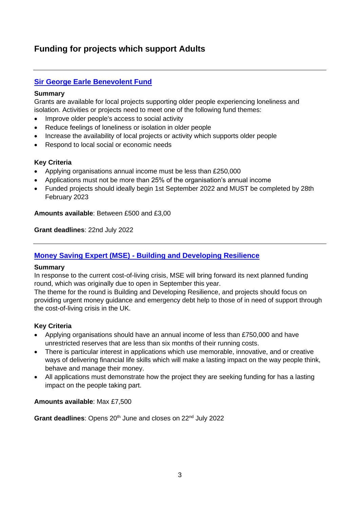# <span id="page-2-0"></span>**Funding for projects which support Adults**

## <span id="page-2-2"></span>**[Sir George Earle Benevolent Fund](https://www.llrcommunityfoundation.org.uk/sir-george-earle-benevolent-fund-opening-23rd-may-2022/)**

#### **Summary**

Grants are available for local projects supporting older people experiencing loneliness and isolation. Activities or projects need to meet one of the following fund themes:

- Improve older people's access to social activity
- Reduce feelings of loneliness or isolation in older people
- Increase the availability of local projects or activity which supports older people
- Respond to local social or economic needs

#### **Key Criteria**

- Applying organisations annual income must be less than £250,000
- Applications must not be more than 25% of the organisation's annual income
- Funded projects should ideally begin 1st September 2022 and MUST be completed by 28th February 2023

**Amounts available**: Between £500 and £3,00

**Grant deadlines**: 22nd July 2022

### <span id="page-2-1"></span>**Money Saving Expert (MSE) - [Building and Developing Resilience](https://www.msecharity.com/)**

#### **Summary**

In response to the current cost-of-living crisis, MSE will bring forward its next planned funding round, which was originally due to open in September this year.

The theme for the round is Building and Developing Resilience, and projects should focus on providing urgent money guidance and emergency debt help to those of in need of support through the cost-of-living crisis in the UK.

#### **Key Criteria**

- Applying organisations should have an annual income of less than £750,000 and have unrestricted reserves that are less than six months of their running costs.
- There is particular interest in applications which use memorable, innovative, and or creative ways of delivering financial life skills which will make a lasting impact on the way people think, behave and manage their money.
- All applications must demonstrate how the project they are seeking funding for has a lasting impact on the people taking part.

#### **Amounts available**: Max £7,500

Grant deadlines: Opens 20<sup>th</sup> June and closes on 22<sup>nd</sup> July 2022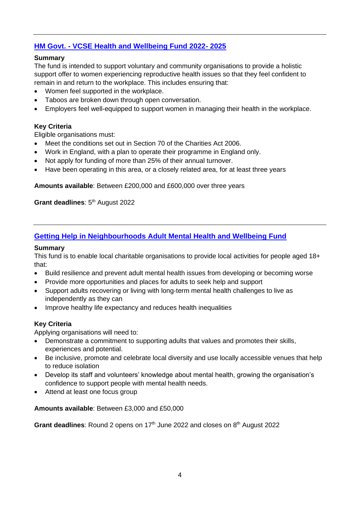## <span id="page-3-0"></span>**HM Govt. - [VCSE Health and Wellbeing Fund 2022-](https://www.gov.uk/government/publications/vcse-health-and-wellbeing-fund-2022-to-2025-womens-reproductive-wellbeing-in-the-workplace/vcse-health-and-wellbeing-fund-2022-to-2025-womens-reproductive-wellbeing-in-the-workplace) 2025**

#### **Summary**

The fund is intended to support voluntary and community organisations to provide a holistic support offer to women experiencing reproductive health issues so that they feel confident to remain in and return to the workplace. This includes ensuring that:

- Women feel supported in the workplace.
- Taboos are broken down through open conversation.
- Employers feel well-equipped to support women in managing their health in the workplace.

#### **Key Criteria**

Eligible organisations must:

- Meet the conditions set out in Section 70 of the Charities Act 2006.
- Work in England, with a plan to operate their programme in England only.
- Not apply for funding of more than 25% of their annual turnover.
- Have been operating in this area, or a closely related area, for at least three years

**Amounts available**: Between £200,000 and £600,000 over three years

**Grant deadlines: 5<sup>th</sup> August 2022** 

#### <span id="page-3-1"></span>**[Getting Help in Neighbourhoods Adult Mental Health and Wellbeing Fund](https://www.llrcommunityfoundation.org.uk/getting-help-in-neighbourhoods-adult-mental-health-wellbeing-fund/)**

#### **Summary**

This fund is to enable local charitable organisations to provide local activities for people aged 18+ that:

- Build resilience and prevent adult mental health issues from developing or becoming worse
- Provide more opportunities and places for adults to seek help and support
- Support adults recovering or living with long-term mental health challenges to live as independently as they can
- Improve healthy life expectancy and reduces health inequalities

#### **Key Criteria**

Applying organisations will need to:

- Demonstrate a commitment to supporting adults that values and promotes their skills, experiences and potential.
- Be inclusive, promote and celebrate local diversity and use locally accessible venues that help to reduce isolation
- Develop its staff and volunteers' knowledge about mental health, growing the organisation's confidence to support people with mental health needs.
- Attend at least one focus group

**Amounts available**: Between £3,000 and £50,000

Grant deadlines: Round 2 opens on 17<sup>th</sup> June 2022 and closes on 8<sup>th</sup> August 2022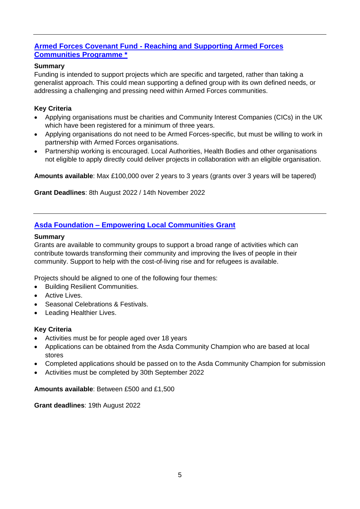## <span id="page-4-0"></span>**Armed Forces Covenant Fund - [Reaching and Supporting Armed Forces](https://covenantfund.org.uk/programme/reaching-and-supporting/#eligibility)  [Communities Programme \\*](https://covenantfund.org.uk/programme/reaching-and-supporting/#eligibility)**

### **Summary**

Funding is intended to support projects which are specific and targeted, rather than taking a generalist approach. This could mean supporting a defined group with its own defined needs, or addressing a challenging and pressing need within Armed Forces communities.

### **Key Criteria**

- Applying organisations must be charities and Community Interest Companies (CICs) in the UK which have been registered for a minimum of three years.
- Applying organisations do not need to be Armed Forces-specific, but must be willing to work in partnership with Armed Forces organisations.
- Partnership working is encouraged. Local Authorities, Health Bodies and other organisations not eligible to apply directly could deliver projects in collaboration with an eligible organisation.

**Amounts available**: Max £100,000 over 2 years to 3 years (grants over 3 years will be tapered)

**Grant Deadlines**: 8th August 2022 / 14th November 2022

## <span id="page-4-1"></span>**Asda Foundation – [Empowering Local Communities Grant](https://www.asdafoundation.org/foundation-grants)**

#### **Summary**

Grants are available to community groups to support a broad range of activities which can contribute towards transforming their community and improving the lives of people in their community. Support to help with the cost-of-living rise and for refugees is available.

Projects should be aligned to one of the following four themes:

- Building Resilient Communities.
- Active Lives.
- Seasonal Celebrations & Festivals.
- Leading Healthier Lives.

#### **Key Criteria**

- Activities must be for people aged over 18 years
- Applications can be obtained from the Asda Community Champion who are based at local stores
- Completed applications should be passed on to the Asda Community Champion for submission
- Activities must be completed by 30th September 2022

#### **Amounts available**: Between £500 and £1,500

**Grant deadlines**: 19th August 2022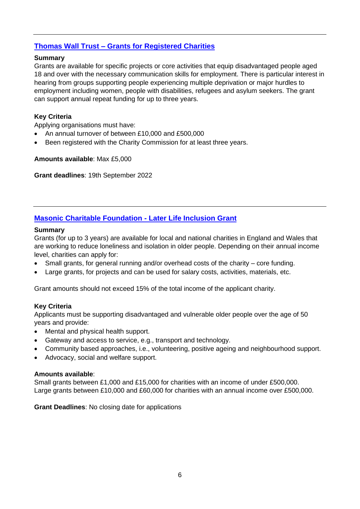## <span id="page-5-0"></span>**Thomas Wall Trust – [Grants for Registered Charities](https://www.thomaswalltrust.org.uk/grants-for-registered-charities-2/)**

#### **Summary**

Grants are available for specific projects or core activities that equip disadvantaged people aged 18 and over with the necessary communication skills for employment. There is particular interest in hearing from groups supporting people experiencing multiple deprivation or major hurdles to employment including women, people with disabilities, refugees and asylum seekers. The grant can support annual repeat funding for up to three years.

#### **Key Criteria**

Applying organisations must have:

- An annual turnover of between £10,000 and £500,000
- Been registered with the Charity Commission for at least three years.

#### **Amounts available**: Max £5,000

**Grant deadlines**: 19th September 2022

## **[Masonic Charitable Foundation -](https://mcf.org.uk/get-support/grants-to-charities/) Later Life Inclusion Grant**

#### **Summary**

Grants (for up to 3 years) are available for local and national charities in England and Wales that are working to reduce loneliness and isolation in older people. Depending on their annual income level, charities can apply for:

- Small grants, for general running and/or overhead costs of the charity core funding.
- Large grants, for projects and can be used for salary costs, activities, materials, etc.

Grant amounts should not exceed 15% of the total income of the applicant charity.

#### **Key Criteria**

Applicants must be supporting disadvantaged and vulnerable older people over the age of 50 years and provide:

- Mental and physical health support.
- Gateway and access to service, e.g., transport and technology.
- Community based approaches, i.e., volunteering, positive ageing and neighbourhood support.
- Advocacy, social and welfare support.

#### **Amounts available**:

Small grants between £1,000 and £15,000 for charities with an income of under £500,000. Large grants between £10,000 and £60,000 for charities with an annual income over £500,000.

**Grant Deadlines**: No closing date for applications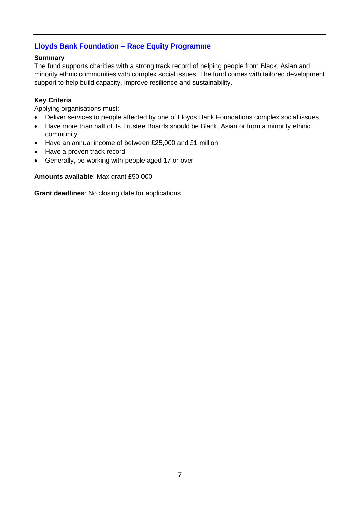## <span id="page-6-0"></span>**[Lloyds Bank Foundation –](https://www.lloydsbankfoundation.org.uk/we-fund/racial-equity) Race Equity Programme**

#### **Summary**

The fund supports charities with a strong track record of helping people from Black, Asian and minority ethnic communities with complex social issues. The fund comes with tailored development support to help build capacity, improve resilience and sustainability.

#### **Key Criteria**

Applying organisations must:

- Deliver services to people affected by one of Lloyds Bank Foundations complex social issues.
- Have more than half of its Trustee Boards should be Black, Asian or from a minority ethnic community.
- Have an annual income of between £25,000 and £1 million
- Have a proven track record
- Generally, be working with people aged 17 or over

**Amounts available**: Max grant £50,000

**Grant deadlines**: No closing date for applications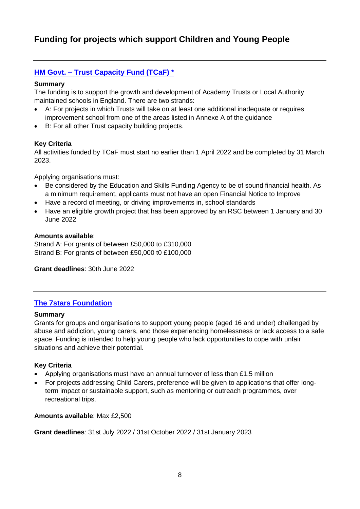# <span id="page-7-0"></span>**Funding for projects which support Children and Young People**

## <span id="page-7-1"></span>**HM Govt. – [Trust Capacity Fund \(TCaF\) \\*](https://www.gov.uk/government/publications/apply-to-the-trust-capacity-fund)**

#### **Summary**

The funding is to support the growth and development of Academy Trusts or Local Authority maintained schools in England. There are two strands:

- A: For projects in which Trusts will take on at least one additional inadequate or requires improvement school from one of the areas listed in Annexe A of the guidance
- B: For all other Trust capacity building projects.

#### **Key Criteria**

All activities funded by TCaF must start no earlier than 1 April 2022 and be completed by 31 March 2023.

Applying organisations must:

- Be considered by the Education and Skills Funding Agency to be of sound financial health. As a minimum requirement, applicants must not have an open Financial Notice to Improve
- Have a record of meeting, or driving improvements in, school standards
- Have an eligible growth project that has been approved by an RSC between 1 January and 30 June 2022

#### **Amounts available**:

Strand A: For grants of between £50,000 to £310,000 Strand B: For grants of between £50,000 t0 £100,000

**Grant deadlines**: 30th June 2022

#### <span id="page-7-2"></span>**The [7stars Foundation](https://the7starsfoundation.co.uk/apply)**

#### **Summary**

Grants for groups and organisations to support young people (aged 16 and under) challenged by abuse and addiction, young carers, and those experiencing homelessness or lack access to a safe space. Funding is intended to help young people who lack opportunities to cope with unfair situations and achieve their potential.

#### **Key Criteria**

- Applying organisations must have an annual turnover of less than £1.5 million
- For projects addressing Child Carers, preference will be given to applications that offer longterm impact or sustainable support, such as mentoring or outreach programmes, over recreational trips.

#### **Amounts available**: Max £2,500

**Grant deadlines**: 31st July 2022 / 31st October 2022 / 31st January 2023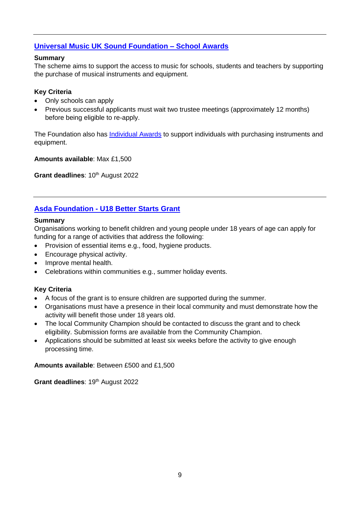## <span id="page-8-0"></span>**[Universal Music UK Sound Foundation –](https://www.umuksoundfoundation.com/awards/) School Awards**

#### **Summary**

The scheme aims to support the access to music for schools, students and teachers by supporting the purchase of musical instruments and equipment.

#### **Key Criteria**

- Only schools can apply
- Previous successful applicants must wait two trustee meetings (approximately 12 months) before being eligible to re-apply.

The Foundation also has [Individual Awards](https://www.umuksoundfoundation.com/awards/) to support individuals with purchasing instruments and equipment.

**Amounts available**: Max £1,500

**Grant deadlines: 10th August 2022** 

## <span id="page-8-1"></span>**Asda Foundation - [U18 Better Starts Grant](https://www.asdafoundation.org/foundation-grants)**

#### **Summary**

Organisations working to benefit children and young people under 18 years of age can apply for funding for a range of activities that address the following:

- Provision of essential items e.g., food, hygiene products.
- Encourage physical activity.
- Improve mental health.
- Celebrations within communities e.g., summer holiday events.

#### **Key Criteria**

- A focus of the grant is to ensure children are supported during the summer.
- Organisations must have a presence in their local community and must demonstrate how the activity will benefit those under 18 years old.
- The local Community Champion should be contacted to discuss the grant and to check eligibility. Submission forms are available from the Community Champion.
- Applications should be submitted at least six weeks before the activity to give enough processing time.

**Amounts available**: Between £500 and £1,500

Grant deadlines: 19<sup>th</sup> August 2022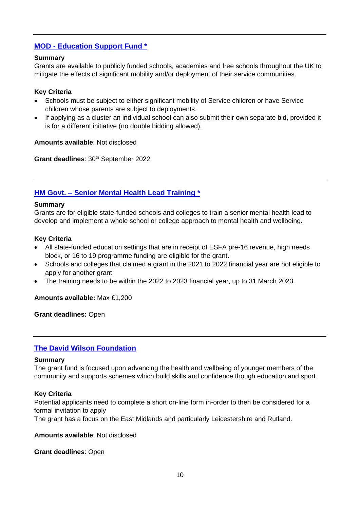## <span id="page-9-0"></span>**MOD - [Education Support Fund \\*](https://www.gov.uk/government/publications/mod-support-fund-for-schools-with-service-children-grant-application-pack)**

#### **Summary**

Grants are available to publicly funded schools, academies and free schools throughout the UK to mitigate the effects of significant mobility and/or deployment of their service communities.

#### **Key Criteria**

- Schools must be subject to either significant mobility of Service children or have Service children whose parents are subject to deployments.
- If applying as a cluster an individual school can also submit their own separate bid, provided it is for a different initiative (no double bidding allowed).

#### **Amounts available**: Not disclosed

**Grant deadlines: 30<sup>th</sup> September 2022** 

## <span id="page-9-1"></span>**HM Govt. – [Senior Mental Health Lead Training \\*](https://www.gov.uk/guidance/senior-mental-health-lead-training)**

#### **Summary**

Grants are for eligible state-funded schools and colleges to train a senior mental health lead to develop and implement a whole school or college approach to mental health and wellbeing.

#### **Key Criteria**

- All state-funded education settings that are in receipt of ESFA pre-16 revenue, high needs block, or 16 to 19 programme funding are eligible for the grant.
- Schools and colleges that claimed a grant in the 2021 to 2022 financial year are not eligible to apply for another grant.
- The training needs to be within the 2022 to 2023 financial year, up to 31 March 2023.

**Amounts available:** Max £1,200

**Grant deadlines:** Open

#### <span id="page-9-2"></span>**[The David Wilson Foundation](https://www.davidwilsonfoundation.com/)**

#### **Summary**

The grant fund is focused upon advancing the health and wellbeing of younger members of the community and supports schemes which build skills and confidence though education and sport.

#### **Key Criteria**

Potential applicants need to complete a short on-line form in-order to then be considered for a formal invitation to apply

The grant has a focus on the East Midlands and particularly Leicestershire and Rutland.

#### **Amounts available**: Not disclosed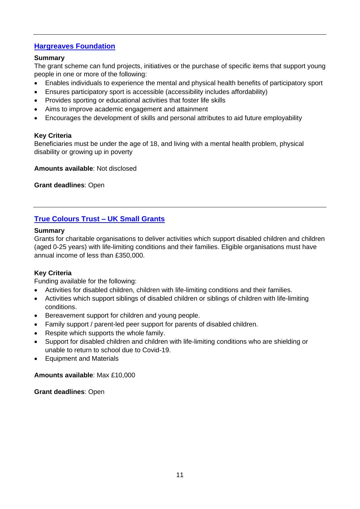## <span id="page-10-0"></span>**[Hargreaves Foundation](https://www.thehargreavesfoundation.org/)**

#### **Summary**

The grant scheme can fund projects, initiatives or the purchase of specific items that support young people in one or more of the following:

- Enables individuals to experience the mental and physical health benefits of participatory sport
- Ensures participatory sport is accessible (accessibility includes affordability)
- Provides sporting or educational activities that foster life skills
- Aims to improve academic engagement and attainment
- Encourages the development of skills and personal attributes to aid future employability

#### **Key Criteria**

Beneficiaries must be under the age of 18, and living with a mental health problem, physical disability or growing up in poverty

**Amounts available**: Not disclosed

**Grant deadlines**: Open

## <span id="page-10-1"></span>**[True Colours Trust –](https://www.truecolourstrust.org.uk/small-grants-uk/) UK Small Grants**

#### **Summary**

Grants for charitable organisations to deliver activities which support disabled children and children (aged 0-25 years) with life-limiting conditions and their families. Eligible organisations must have annual income of less than £350,000.

#### **Key Criteria**

Funding available for the following:

- Activities for disabled children, children with life-limiting conditions and their families.
- Activities which support siblings of disabled children or siblings of children with life-limiting conditions.
- Bereavement support for children and young people.
- Family support / parent-led peer support for parents of disabled children.
- Respite which supports the whole family.
- Support for disabled children and children with life-limiting conditions who are shielding or unable to return to school due to Covid-19.
- Equipment and Materials

#### **Amounts available**: Max £10,000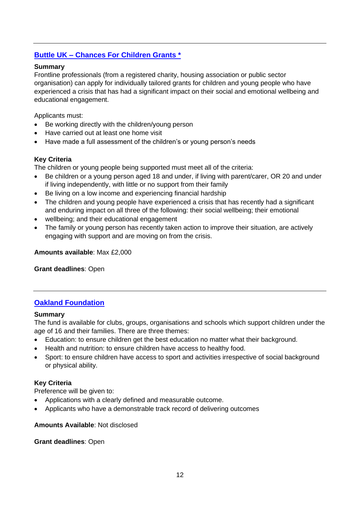## <span id="page-11-0"></span>**Buttle UK – [Chances For Children Grants \\*](https://buttleuk.org/apply-for-a-grant/chances-for-children-grants/)**

#### **Summary**

Frontline professionals (from a registered charity, housing association or public sector organisation) can apply for individually tailored grants for children and young people who have experienced a crisis that has had a significant impact on their social and emotional wellbeing and educational engagement.

Applicants must:

- Be working directly with the children/young person
- Have carried out at least one home visit
- Have made a full assessment of the children's or young person's needs

#### **Key Criteria**

The children or young people being supported must meet all of the criteria:

- Be children or a young person aged 18 and under, if living with parent/carer, OR 20 and under if living independently, with little or no support from their family
- Be living on a low income and experiencing financial hardship
- The children and young people have experienced a crisis that has recently had a significant and enduring impact on all three of the following: their social wellbeing; their emotional
- wellbeing; and their educational engagement
- The family or young person has recently taken action to improve their situation, are actively engaging with support and are moving on from the crisis.

**Amounts available**: Max £2,000

**Grant deadlines**: Open

#### <span id="page-11-1"></span>**[Oakland Foundation](https://www.oakland-foundation.com/apply-for-funding/)**

#### **Summary**

The fund is available for clubs, groups, organisations and schools which support children under the age of 16 and their families. There are three themes:

- Education: to ensure children get the best education no matter what their background.
- Health and nutrition: to ensure children have access to healthy food.
- Sport: to ensure children have access to sport and activities irrespective of social background or physical ability.

#### **Key Criteria**

Preference will be given to:

- Applications with a clearly defined and measurable outcome.
- Applicants who have a demonstrable track record of delivering outcomes

#### **Amounts Available**: Not disclosed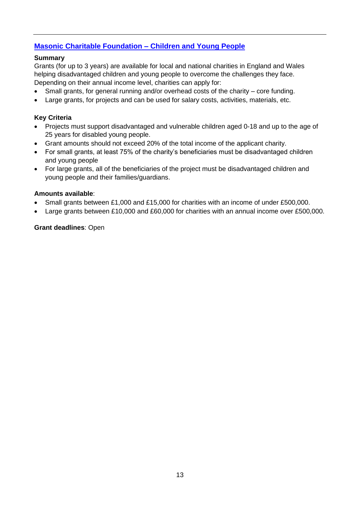## <span id="page-12-0"></span>**[Masonic Charitable Foundation –](https://mcf.org.uk/get-support/grants-to-charities/children-and-young-people/) Children and Young People**

#### **Summary**

Grants (for up to 3 years) are available for local and national charities in England and Wales helping disadvantaged children and young people to overcome the challenges they face. Depending on their annual income level, charities can apply for:

- Small grants, for general running and/or overhead costs of the charity core funding.
- Large grants, for projects and can be used for salary costs, activities, materials, etc.

#### **Key Criteria**

- Projects must support disadvantaged and vulnerable children aged 0-18 and up to the age of 25 years for disabled young people.
- Grant amounts should not exceed 20% of the total income of the applicant charity.
- For small grants, at least 75% of the charity's beneficiaries must be disadvantaged children and young people
- For large grants, all of the beneficiaries of the project must be disadvantaged children and young people and their families/guardians.

#### **Amounts available**:

- Small grants between £1,000 and £15,000 for charities with an income of under £500,000.
- Large grants between £10,000 and £60,000 for charities with an annual income over £500,000.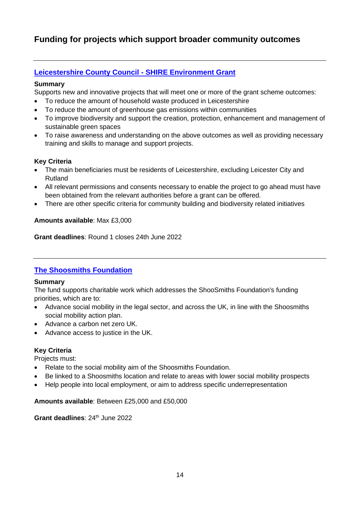# <span id="page-13-0"></span>**Funding for projects which support broader community outcomes**

## <span id="page-13-1"></span>**[Leicestershire County Council -](https://www.leicestershirecommunities.org.uk/grants/environment-grant.html) SHIRE Environment Grant**

#### **Summary**

Supports new and innovative projects that will meet one or more of the grant scheme outcomes:

- To reduce the amount of household waste produced in Leicestershire
- To reduce the amount of greenhouse gas emissions within communities
- To improve biodiversity and support the creation, protection, enhancement and management of sustainable green spaces
- To raise awareness and understanding on the above outcomes as well as providing necessary training and skills to manage and support projects.

#### **Key Criteria**

- The main beneficiaries must be residents of Leicestershire, excluding Leicester City and Rutland
- All relevant permissions and consents necessary to enable the project to go ahead must have been obtained from the relevant authorities before a grant can be offered.
- There are other specific criteria for community building and biodiversity related initiatives

#### **Amounts available**: Max £3,000

**Grant deadlines**: Round 1 closes 24th June 2022

## <span id="page-13-2"></span>**[The Shoosmiths Foundation](https://www.shoosmiths.co.uk/our-responsibility/shoosmiths-foundation)**

#### **Summary**

The fund supports charitable work which addresses the ShooSmiths Foundation's funding priorities, which are to:

- Advance social mobility in the legal sector, and across the UK, in line with the Shoosmiths social mobility action plan.
- Advance a carbon net zero UK.
- Advance access to justice in the UK.

#### **Key Criteria**

Projects must:

- Relate to the social mobility aim of the Shoosmiths Foundation.
- Be linked to a Shoosmiths location and relate to areas with lower social mobility prospects
- Help people into local employment, or aim to address specific underrepresentation

#### **Amounts available**: Between £25,000 and £50,000

**Grant deadlines: 24<sup>th</sup> June 2022**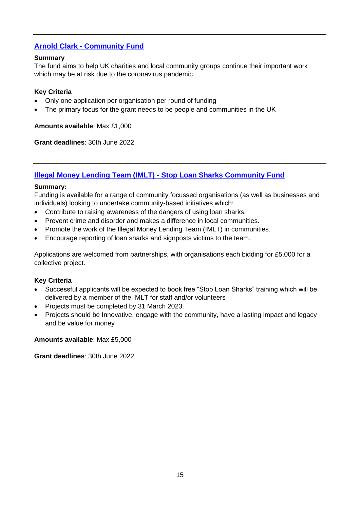## <span id="page-14-0"></span>**Arnold Clark - [Community Fund](https://www.arnoldclark.com/community-fund)**

#### **Summary**

The fund aims to help UK charities and local community groups continue their important work which may be at risk due to the coronavirus pandemic.

#### **Key Criteria**

- Only one application per organisation per round of funding
- The primary focus for the grant needs to be people and communities in the UK

**Amounts available**: Max £1,000

**Grant deadlines**: 30th June 2022

## <span id="page-14-1"></span>**[Illegal Money Lending Team \(IMLT\) -](#page-14-1) Stop Loan Sharks Community Fund**

#### **Summary:**

Funding is available for a range of community focussed organisations (as well as businesses and individuals) looking to undertake community-based initiatives which:

- Contribute to raising awareness of the dangers of using loan sharks.
- Prevent crime and disorder and makes a difference in local communities.
- Promote the work of the Illegal Money Lending Team (IMLT) in communities.
- Encourage reporting of loan sharks and signposts victims to the team.

Applications are welcomed from partnerships, with organisations each bidding for £5,000 for a collective project.

#### **Key Criteria**

- Successful applicants will be expected to book free "Stop Loan Sharks" training which will be delivered by a member of the IMLT for staff and/or volunteers
- Projects must be completed by 31 March 2023.
- Projects should be Innovative, engage with the community, have a lasting impact and legacy and be value for money

**Amounts available**: Max £5,000

**Grant deadlines**: 30th June 2022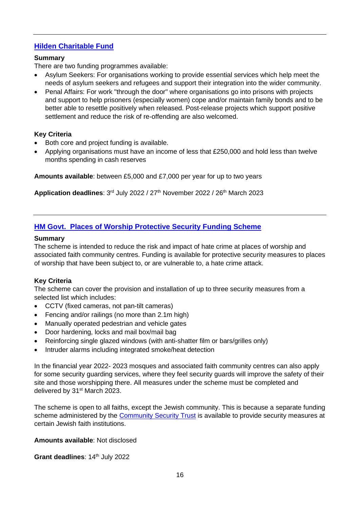## <span id="page-15-0"></span>**[Hilden Charitable Fund](https://www.hildencharitablefund.org/)**

#### **Summary**

There are two funding programmes available:

- Asylum Seekers: For organisations working to provide essential services which help meet the needs of asylum seekers and refugees and support their integration into the wider community.
- Penal Affairs: For work "through the door" where organisations go into prisons with projects and support to help prisoners (especially women) cope and/or maintain family bonds and to be better able to resettle positively when released. Post-release projects which support positive settlement and reduce the risk of re-offending are also welcomed.

#### **Key Criteria**

- Both core and project funding is available.
- Applying organisations must have an income of less that £250,000 and hold less than twelve months spending in cash reserves

**Amounts available**: between £5,000 and £7,000 per year for up to two years

Application deadlines: 3<sup>rd</sup> July 2022 / 27<sup>th</sup> November 2022 / 26<sup>th</sup> March 2023

## <span id="page-15-1"></span>**[HM Govt. Places of Worship Protective Security Funding Scheme](https://www.gov.uk/guidance/places-of-worship-security-funding-scheme#history)**

#### **Summary**

The scheme is intended to reduce the risk and impact of hate crime at places of worship and associated faith community centres. Funding is available for protective security measures to places of worship that have been subject to, or are vulnerable to, a hate crime attack.

#### **Key Criteria**

The scheme can cover the provision and installation of up to three security measures from a selected list which includes:

- CCTV (fixed cameras, not pan-tilt cameras)
- Fencing and/or railings (no more than 2.1m high)
- Manually operated pedestrian and vehicle gates
- Door hardening, locks and mail box/mail bag
- Reinforcing single glazed windows (with anti-shatter film or bars/grilles only)
- Intruder alarms including integrated smoke/heat detection

In the financial year 2022- 2023 mosques and associated faith community centres can also apply for some security guarding services, where they feel security guards will improve the safety of their site and those worshipping there. All measures under the scheme must be completed and delivered by 31<sup>st</sup> March 2023.

The scheme is open to all faiths, except the Jewish community. This is because a separate funding scheme administered by the [Community Security Trust](https://www.gov.uk/government/news/protective-security-grant-funding-for-jewish-institutions-to-continue) is available to provide security measures at certain Jewish faith institutions.

#### **Amounts available**: Not disclosed

**Grant deadlines: 14th July 2022**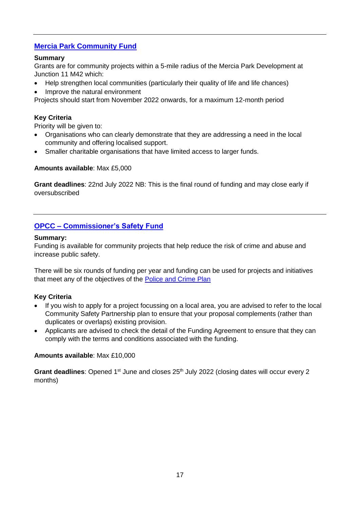## <span id="page-16-0"></span>**[Mercia Park Community Fund](https://www.llrcommunityfoundation.org.uk/mercia-park-community-fund/)**

#### **Summary**

Grants are for community projects within a 5-mile radius of the Mercia Park Development at Junction 11 M42 which:

- Help strengthen local communities (particularly their quality of life and life chances)
- Improve the natural environment

Projects should start from November 2022 onwards, for a maximum 12-month period

#### **Key Criteria**

Priority will be given to:

- Organisations who can clearly demonstrate that they are addressing a need in the local community and offering localised support.
- Smaller charitable organisations that have limited access to larger funds.

#### **Amounts available**: Max £5,000

**Grant deadlines**: 22nd July 2022 NB: This is the final round of funding and may close early if oversubscribed

## <span id="page-16-1"></span>**OPCC – [Commissioner's Safety Fund](https://www.leics.pcc.police.uk/Planning-and-Money/Commissioning/Current-Funding-Available/Commissioners-Safety-Fund.aspx)**

#### **Summary:**

Funding is available for community projects that help reduce the risk of crime and abuse and increase public safety.

There will be six rounds of funding per year and funding can be used for projects and initiatives that meet any of the objectives of the [Police and Crime Plan](https://www.leics.pcc.police.uk/Planning-and-Money/Police-and-Crime-Plan/Police-and-Crime-Plan.aspx)

#### **Key Criteria**

- If you wish to apply for a project focussing on a local area, you are advised to refer to the local Community Safety Partnership plan to ensure that your proposal complements (rather than duplicates or overlaps) existing provision.
- Applicants are advised to check the detail of the Funding Agreement to ensure that they can comply with the terms and conditions associated with the funding.

#### **Amounts available**: Max £10,000

Grant deadlines: Opened 1<sup>st</sup> June and closes 25<sup>th</sup> July 2022 (closing dates will occur every 2 months)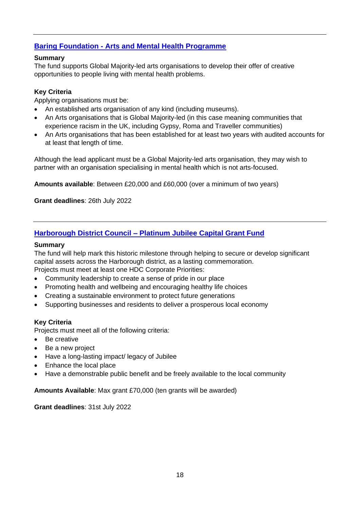## <span id="page-17-0"></span>**Baring Foundation - [Arts and Mental Health Programme](https://baringfoundation.org.uk/news-story/new-funding-for-global-majority-led-arts-organisations-to-develop-creative-work-with-people-with-mental-health-problems/)**

#### **Summary**

The fund supports Global Majority-led arts organisations to develop their offer of creative opportunities to people living with mental health problems.

#### **Key Criteria**

Applying organisations must be:

- An established arts organisation of any kind (including museums).
- An Arts organisations that is Global Majority-led (in this case meaning communities that experience racism in the UK, including Gypsy, Roma and Traveller communities)
- An Arts organisations that has been established for at least two years with audited accounts for at least that length of time.

Although the lead applicant must be a Global Majority-led arts organisation, they may wish to partner with an organisation specialising in mental health which is not arts-focused.

**Amounts available**: Between £20,000 and £60,000 (over a minimum of two years)

**Grant deadlines**: 26th July 2022

## <span id="page-17-1"></span>**Harborough District Council – [Platinum Jubilee Capital Grant Fund](https://www.harborough.gov.uk/info/20004/planning_strategy/134/platinum_jubilee_capital_grant_fund/2)**

#### **Summary**

The fund will help mark this historic milestone through helping to secure or develop significant capital assets across the Harborough district, as a lasting commemoration. Projects must meet at least one HDC Corporate Priorities:

- Community leadership to create a sense of pride in our place
- Promoting health and wellbeing and encouraging healthy life choices
- Creating a sustainable environment to protect future generations
- Supporting businesses and residents to deliver a prosperous local economy

#### **Key Criteria**

Projects must meet all of the following criteria:

- Be creative
- Be a new project
- Have a long-lasting impact/ legacy of Jubilee
- Enhance the local place
- Have a demonstrable public benefit and be freely available to the local community

**Amounts Available**: Max grant £70,000 (ten grants will be awarded)

**Grant deadlines**: 31st July 2022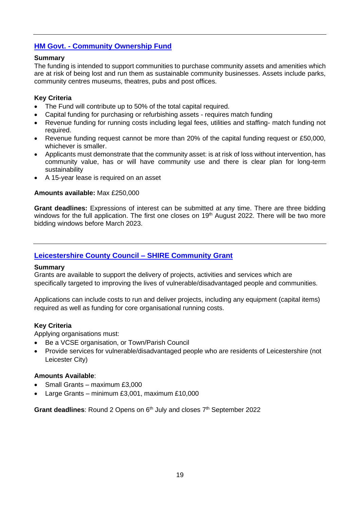## <span id="page-18-0"></span>**HM Govt. - [Community Ownership Fund](https://www.gov.uk/guidance/community-ownership-fund-round-2-how-to-express-your-interest-in-applying)**

#### **Summary**

The funding is intended to support communities to purchase community assets and amenities which are at risk of being lost and run them as sustainable community businesses. Assets include parks, community centres museums, theatres, pubs and post offices.

#### **Key Criteria**

- The Fund will contribute up to 50% of the total capital required.
- Capital funding for purchasing or refurbishing assets requires match funding
- Revenue funding for running costs including legal fees, utilities and staffing- match funding not required.
- Revenue funding request cannot be more than 20% of the capital funding request or £50,000, whichever is smaller.
- Applicants must demonstrate that the community asset: is at risk of loss without intervention, has community value, has or will have community use and there is clear plan for long-term sustainability
- A 15-year lease is required on an asset

#### **Amounts available:** Max £250,000

**Grant deadlines:** Expressions of interest can be submitted at any time. There are three bidding windows for the full application. The first one closes on 19<sup>th</sup> August 2022. There will be two more bidding windows before March 2023.

#### <span id="page-18-1"></span>**[Leicestershire County Council –](https://www.leicestershirecommunities.org.uk/grants/shire-community-grant.html) SHIRE Community Grant**

#### **Summary**

Grants are available to support the delivery of projects, activities and services which are specifically targeted to improving the lives of vulnerable/disadvantaged people and communities.

Applications can include costs to run and deliver projects, including any equipment (capital items) required as well as funding for core organisational running costs.

#### **Key Criteria**

Applying organisations must:

- Be a VCSE organisation, or Town/Parish Council
- Provide services for vulnerable/disadvantaged people who are residents of Leicestershire (not Leicester City)

#### **Amounts Available**:

- Small Grants maximum £3,000
- Large Grants minimum £3,001, maximum £10,000

Grant deadlines: Round 2 Opens on 6<sup>th</sup> July and closes 7<sup>th</sup> September 2022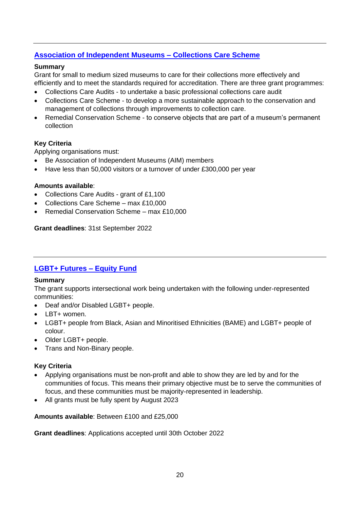## <span id="page-19-0"></span>**[Association of Independent Museums –](https://aim-museums.co.uk/for-aim-members/grants/collections-care-conservation-grants/) Collections Care Scheme**

#### **Summary**

Grant for small to medium sized museums to care for their collections more effectively and efficiently and to meet the standards required for accreditation. There are three grant programmes:

- Collections Care Audits to undertake a basic professional collections care audit
- Collections Care Scheme to develop a more sustainable approach to the conservation and management of collections through improvements to collection care.
- Remedial Conservation Scheme to conserve objects that are part of a museum's permanent collection

#### **Key Criteria**

Applying organisations must:

- Be Association of Independent Museums (AIM) members
- Have less than 50,000 visitors or a turnover of under £300,000 per year

#### **Amounts available**:

- Collections Care Audits grant of £1,100
- Collections Care Scheme max £10,000
- Remedial Conservation Scheme max £10,000

**Grant deadlines**: 31st September 2022

## <span id="page-19-1"></span>**[LGBT+ Futures –](https://www.consortium.lgbt/EquityFund/) Equity Fund**

#### **Summary**

The grant supports intersectional work being undertaken with the following under-represented communities:

- Deaf and/or Disabled LGBT+ people.
- LBT+ women.
- LGBT+ people from Black, Asian and Minoritised Ethnicities (BAME) and LGBT+ people of colour.
- Older LGBT+ people.
- Trans and Non-Binary people.

#### **Key Criteria**

- Applying organisations must be non-profit and able to show they are led by and for the communities of focus. This means their primary objective must be to serve the communities of focus, and these communities must be majority-represented in leadership.
- All grants must be fully spent by August 2023

#### **Amounts available**: Between £100 and £25,000

**Grant deadlines**: Applications accepted until 30th October 2022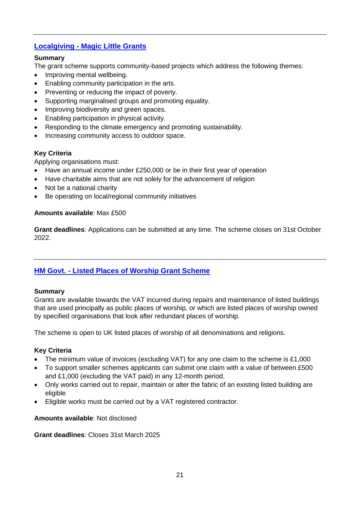## <span id="page-20-0"></span>**Localgiving - [Magic Little Grants](https://localgiving.org/about/magic-little-grants/)**

#### **Summary**

The grant scheme supports community-based projects which address the following themes:

- Improving mental wellbeing.
- Enabling community participation in the arts.
- Preventing or reducing the impact of poverty.
- Supporting marginalised groups and promoting equality.
- Improving biodiversity and green spaces.
- Enabling participation in physical activity.
- Responding to the climate emergency and promoting sustainability.
- Increasing community access to outdoor space.

#### **Key Criteria**

Applying organisations must:

- Have an annual income under £250,000 or be in their first year of operation
- Have charitable aims that are not solely for the advancement of religion
- Not be a national charity
- Be operating on local/regional community initiatives

#### **Amounts available**: Max £500

**Grant deadlines**: Applications can be submitted at any time. The scheme closes on 31st October 2022.

## <span id="page-20-1"></span>**HM Govt. - [Listed Places of Worship Grant Scheme](https://www.lpwscheme.org.uk/)**

#### **Summary**

Grants are available towards the VAT incurred during repairs and maintenance of listed buildings that are used principally as public places of worship, or which are listed places of worship owned by specified organisations that look after redundant places of worship.

The scheme is open to UK listed places of worship of all denominations and religions.

#### **Key Criteria**

- The minimum value of invoices (excluding VAT) for any one claim to the scheme is £1,000
- To support smaller schemes applicants can submit one claim with a value of between £500 and £1,000 (excluding the VAT paid) in any 12-month period.
- Only works carried out to repair, maintain or alter the fabric of an existing listed building are eligible
- Eligible works must be carried out by a VAT registered contractor.

#### **Amounts available**: Not disclosed

**Grant deadlines**: Closes 31st March 2025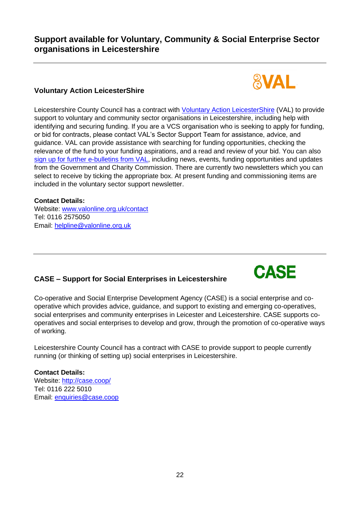## **Support available for Voluntary, Community & Social Enterprise Sector organisations in Leicestershire**

## **Voluntary Action LeicesterShire**

Leicestershire County Council has a contract with [Voluntary Action LeicesterShire](http://www.valonline.org.uk/groups) (VAL) to provide support to voluntary and community sector organisations in Leicestershire, including help with identifying and securing funding. If you are a VCS organisation who is seeking to apply for funding, or bid for contracts, please contact VAL's Sector Support Team for assistance, advice, and guidance. VAL can provide assistance with searching for funding opportunities, checking the relevance of the fund to your funding aspirations, and a read and review of your bid. You can also [sign up for further e-bulletins from VAL,](https://valonline.org.uk/subscriptions/) including news, events, funding opportunities and updates from the Government and Charity Commission. There are currently two newsletters which you can select to receive by ticking the appropriate box. At present funding and commissioning items are included in the voluntary sector support newsletter.

#### **Contact Details:**

Website: [www.valonline.org.uk/contact](http://www.valonline.org.uk/contact) Tel: 0116 2575050 Email: [helpline@valonline.org.uk](mailto:helpline@valonline.org.uk)

## **CASE – Support for Social Enterprises in Leicestershire**

#### Co-operative and Social Enterprise Development Agency (CASE) is a social enterprise and cooperative which provides advice, guidance, and support to existing and emerging co-operatives, social enterprises and community enterprises in Leicester and Leicestershire. CASE supports cooperatives and social enterprises to develop and grow, through the promotion of co-operative ways of working.

Leicestershire County Council has a contract with CASE to provide support to people currently running (or thinking of setting up) social enterprises in Leicestershire.

#### **Contact Details:**

Website:<http://case.coop/> Tel: 0116 222 5010 Email: [enquiries@case.coop](mailto:enquiries@case.coop)



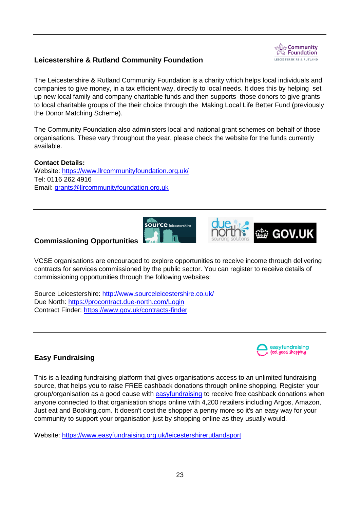## **Leicestershire & Rutland Community Foundation**



The Leicestershire & Rutland Community Foundation is a charity which helps local individuals and companies to give money, in a tax efficient way, directly to local needs. It does this by helping set up new local family and company charitable funds and then supports those donors to give grants to local charitable groups of the their choice through the Making Local Life Better Fund (previously the Donor Matching Scheme).

The Community Foundation also administers local and national grant schemes on behalf of those organisations. These vary throughout the year, please check the website for the funds currently available.

**Contact Details:** Website:<https://www.llrcommunityfoundation.org.uk/> Tel: 0116 262 4916 Email: [grants@llrcommunityfoundation.org.uk](mailto:grants@llrcommunityfoundation.org.uk) 



#### **Commissioning Opportunities**

VCSE organisations are encouraged to explore opportunities to receive income through delivering contracts for services commissioned by the public sector. You can register to receive details of commissioning opportunities through the following websites:

Source Leicestershire:<http://www.sourceleicestershire.co.uk/> Due North:<https://procontract.due-north.com/Login> Contract Finder:<https://www.gov.uk/contracts-finder>



ti GOV.UK

## **Easy Fundraising**

This is a leading fundraising platform that gives organisations access to an unlimited fundraising source, that helps you to raise FREE cashback donations through online shopping. Register your group/organisation as a good cause with [easyfundraising](https://www.easyfundraising.org.uk/leicestershirerutlandsport) to receive free cashback donations when anyone connected to that organisation shops online with 4,200 retailers including Argos, Amazon, Just eat and Booking.com. It doesn't cost the shopper a penny more so it's an easy way for your community to support your organisation just by shopping online as they usually would.

Website:<https://www.easyfundraising.org.uk/leicestershirerutlandsport>